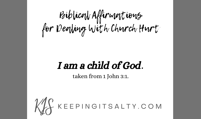Biblical Affirmations for Dealing With Church Hurt

#### I am a child of God.

taken from 1 John 3:1.

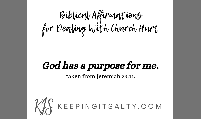Biblical Affirmations for Dealing With Church Hurt

#### God has a purpose for me.

taken from Jeremiah 29:11.

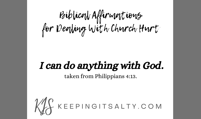Biblical Affirmations for Dealing With Church Hurt

#### I can do anything with God.

taken from Philippians 4:13.

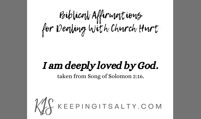Biblical Affirmations for Dealing With Church Hurt

#### I am deeply loved by God.

taken from Song of Solomon 2:16.

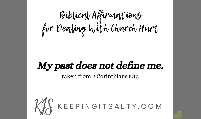Biblical Affirmations for Dealing With Church Hurt

## My past does not define me.

taken from 2 Corinthians 5:17.

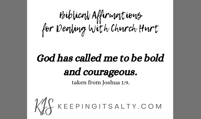Biblical Affirmations for Dealing With Church Hurt

## God has called me to be bold and courageous.

taken from Joshua 1:9.

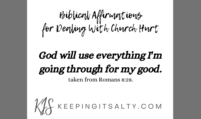Biblical Affirmations for Dealing With Church Hurt

# God will use everything I'm going through for my good.

taken from Romans 8:28.

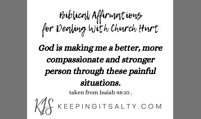## Biblical Affirmations for Dealing With Church Hurt

#### God is making me a better, more compassionate and stronger person through these painful situations.



taken from Isaiah 48:10 .<br>KYS KEEP I N G I T S A L T Y . C O M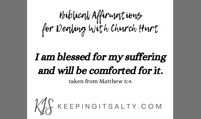Biblical Affirmations for Dealing With Church Hurt

## I am blessed for my suffering and will be comforted for it.

taken from Matthew 5:4.

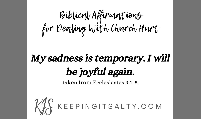Biblical Affirmations for Dealing With Church Hurt

## My sadness is temporary. I will be joyful again.

taken from Ecclesiastes 3:1-8.

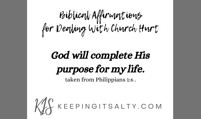Biblical Affirmations for Dealing With Church Hurt

## God will complete His purpose for my life.

taken from Philippians 1:6 .

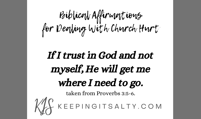Biblical Affirmations for Dealing With Church Hurt

# If I trust in God and not myself, He will get me where I need to go. taken from Proverbs 3:5-6.<br>KYS KEEP I N G I T S A L T Y . C O M

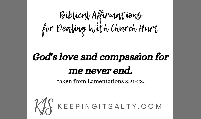Biblical Affirmations for Dealing With Church Hurt

## God's love and compassion for me never end.

taken from Lamentations 3:21-23.

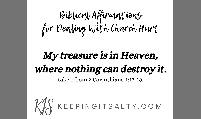Biblical Affirmations for Dealing With Church Hurt

#### My treasure is in Heaven, where nothing can destroy it. taken from 2 Corinthians 4:17-18.

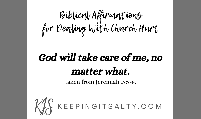Biblical Affirmations for Dealing With Church Hurt

## God will take care of me, no matter what.

taken from Jeremiah 17:7-8.

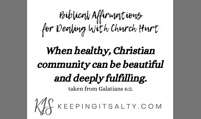Biblical Affirmations for Dealing With Church Hurt

## When healthy, Christian community can be beautiful and deeply fulfilling.

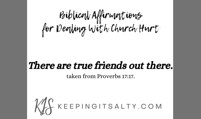Biblical Affirmations for Dealing With Church Hurt

#### There are true friends out there.

taken from Proverbs 17:17.